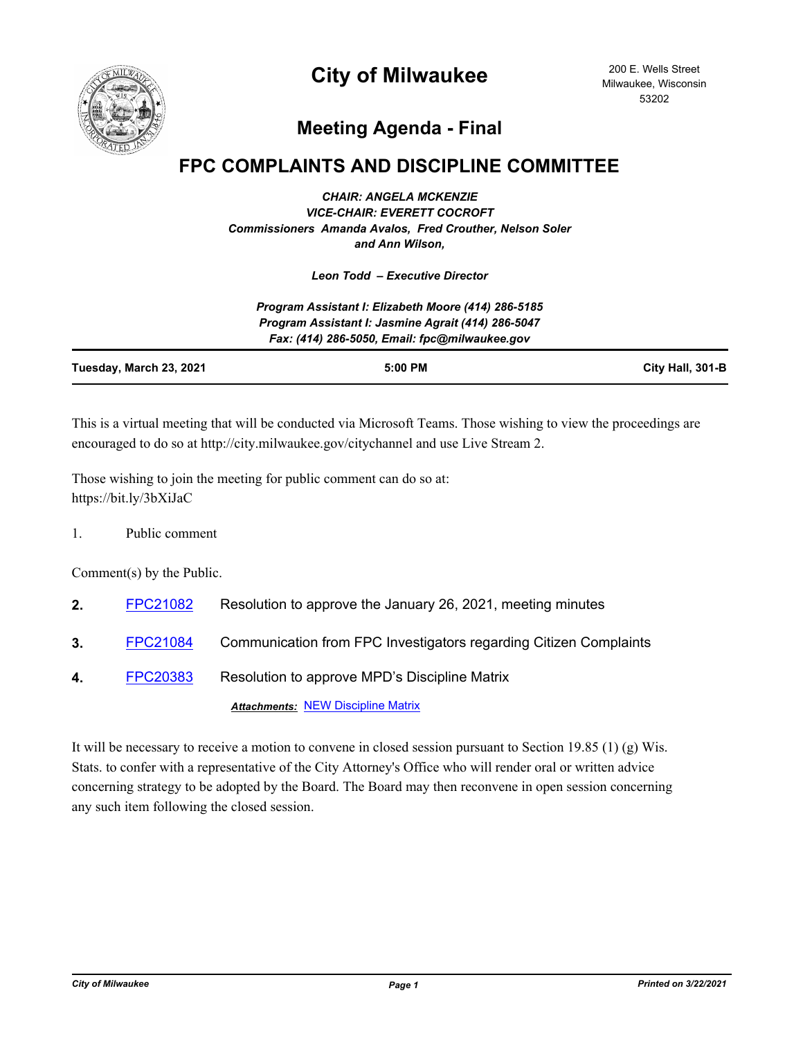

## **City of Milwaukee**

200 E. Wells Street Milwaukee, Wisconsin 53202

## **Meeting Agenda - Final**

## **FPC COMPLAINTS AND DISCIPLINE COMMITTEE**

*CHAIR: ANGELA MCKENZIE VICE-CHAIR: EVERETT COCROFT Commissioners Amanda Avalos, Fred Crouther, Nelson Soler and Ann Wilson,*

*Leon Todd – Executive Director*

|                         | Program Assistant I: Elizabeth Moore (414) 286-5185                                                 |                  |
|-------------------------|-----------------------------------------------------------------------------------------------------|------------------|
|                         | Program Assistant I: Jasmine Agrait (414) 286-5047<br>Fax: (414) 286-5050, Email: fpc@milwaukee.gov |                  |
| Tuesday, March 23, 2021 | $5:00$ PM                                                                                           | City Hall, 301-B |

This is a virtual meeting that will be conducted via Microsoft Teams. Those wishing to view the proceedings are encouraged to do so at http://city.milwaukee.gov/citychannel and use Live Stream 2.

Those wishing to join the meeting for public comment can do so at: https://bit.ly/3bXiJaC

1. Public comment

Comment(s) by the Public.

- **2.** [FPC21082](http://milwaukee.legistar.com/gateway.aspx?m=l&id=/matter.aspx?key=56713) Resolution to approve the January 26, 2021, meeting minutes
- **3.** [FPC21084](http://milwaukee.legistar.com/gateway.aspx?m=l&id=/matter.aspx?key=56723) Communication from FPC Investigators regarding Citizen Complaints
- **4.** [FPC20383](http://milwaukee.legistar.com/gateway.aspx?m=l&id=/matter.aspx?key=55732) Resolution to approve MPD's Discipline Matrix

*Attachments:* [NEW Discipline Matrix](http://Milwaukee.legistar.com/gateway.aspx?M=F&ID=91cfa197-10d8-4ddd-b8a1-dd6840722aa9.pdf)

It will be necessary to receive a motion to convene in closed session pursuant to Section 19.85 (1) (g) Wis. Stats. to confer with a representative of the City Attorney's Office who will render oral or written advice concerning strategy to be adopted by the Board. The Board may then reconvene in open session concerning any such item following the closed session.